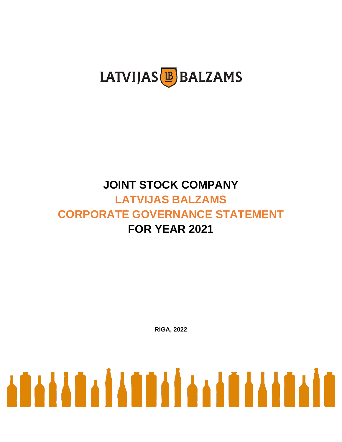

# **JOINT STOCK COMPANY LATVIJAS BALZAMS CORPORATE GOVERNANCE STATEMENT FOR YEAR 2021**

**RIGA, 2022**

# <u>ATA YA ANTIKA KATAKATA MA</u>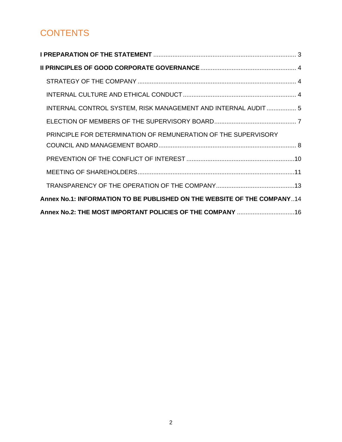# **CONTENTS**

| INTERNAL CONTROL SYSTEM, RISK MANAGEMENT AND INTERNAL AUDIT 5           |
|-------------------------------------------------------------------------|
|                                                                         |
| PRINCIPLE FOR DETERMINATION OF REMUNERATION OF THE SUPERVISORY          |
|                                                                         |
|                                                                         |
|                                                                         |
|                                                                         |
| Annex No.1: INFORMATION TO BE PUBLISHED ON THE WEBSITE OF THE COMPANY14 |
| Annex No.2: THE MOST IMPORTANT POLICIES OF THE COMPANY  16              |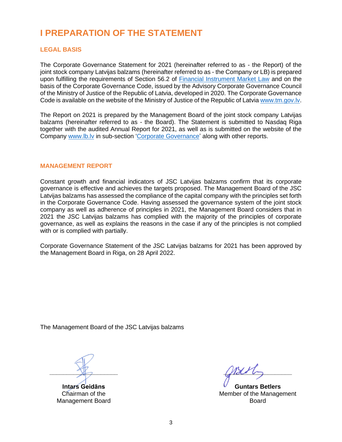# <span id="page-2-0"></span>**I PREPARATION OF THE STATEMENT**

#### **LEGAL BASIS**

The Corporate Governance Statement for 2021 (hereinafter referred to as - the Report) of the joint stock company Latvijas balzams (hereinafter referred to as - the Company or LB) is prepared upon fulfilling the requirements of Section 56.2 of [Financial Instrument Market Law](https://likumi.lv/doc.php?id=81995) and on the basis of the Corporate Governance Code, issued by the Advisory Corporate Governance Council of the Ministry of Justice of the Republic of Latvia, developed in 2020. The Corporate Governance Code is available on the website of the Ministry of Justice of the Republic of Latvia [www.tm.gov.lv.](http://www.tm.gov.lv/)

The Report on 2021 is prepared by the Management Board of the joint stock company Latvijas balzams (hereinafter referred to as - the Board). The Statement is submitted to Nasdaq Riga together with the audited Annual Report for 2021, as well as is submitted on the website of the Company [www.lb.lv](http://www.lb.lv/) in sub-section ['Corporate Governance'](https://lb.lv/korporativa-parvaldiba/) along with other reports.

#### **MANAGEMENT REPORT**

Constant growth and financial indicators of JSC Latvijas balzams confirm that its corporate governance is effective and achieves the targets proposed. The Management Board of the JSC Latvijas balzams has assessed the compliance of the capital company with the principles set forth in the Corporate Governance Code. Having assessed the governance system of the joint stock company as well as adherence of principles in 2021, the Management Board considers that in 2021 the JSC Latvijas balzams has complied with the majority of the principles of corporate governance, as well as explains the reasons in the case if any of the principles is not complied with or is complied with partially.

Corporate Governance Statement of the JSC Latvijas balzams for 2021 has been approved by the Management Board in Riga, on 28 April 2022.

The Management Board of the JSC Latvijas balzams

**\_\_\_\_\_\_\_\_\_\_\_\_\_\_\_\_\_\_\_\_**

**Intars Geidāns** Chairman of the Management Board

 $M_{\odot}$ 

**Guntars Betlers** Member of the Management Board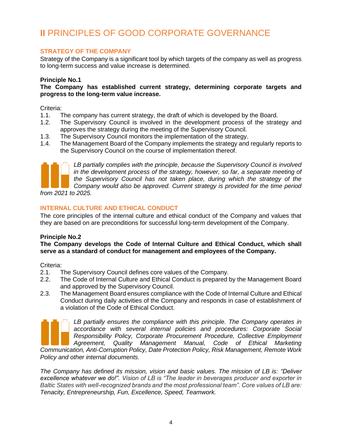# <span id="page-3-0"></span>**II** PRINCIPLES OF GOOD CORPORATE GOVERNANCE

# <span id="page-3-1"></span>**STRATEGY OF THE COMPANY**

Strategy of the Company is a significant tool by which targets of the company as well as progress to long-term success and value increase is determined.

#### **Principle No.1**

**The Company has established current strategy, determining corporate targets and progress to the long-term value increase.** 

Criteria:

- 1.1. The company has current strategy, the draft of which is developed by the Board.
- 1.2. The Supervisory Council is involved in the development process of the strategy and approves the strategy during the meeting of the Supervisory Council.
- 1.3. The Supervisory Council monitors the implementation of the strategy.
- 1.4. The Management Board of the Company implements the strategy and regularly reports to the Supervisory Council on the course of implementation thereof.



*LB partially complies with the principle, because the Supervisory Council is involved in the development process of the strategy, however, so far, a separate meeting of the Supervisory Council has not taken place, during which the strategy of the Company would also be approved. Current strategy is provided for the time period* 

*from 2021 to 2025.* 

# <span id="page-3-2"></span>**INTERNAL CULTURE AND ETHICAL CONDUCT**

The core principles of the internal culture and ethical conduct of the Company and values that they are based on are preconditions for successful long-term development of the Company.

# **Principle No.2**

**The Company develops the Code of Internal Culture and Ethical Conduct, which shall serve as a standard of conduct for management and employees of the Company.**

Criteria:

- 2.1. The Supervisory Council defines core values of the Company.
- 2.2. The Code of Internal Culture and Ethical Conduct is prepared by the Management Board and approved by the Supervisory Council.
- 2.3. The Management Board ensures compliance with the Code of Internal Culture and Ethical Conduct during daily activities of the Company and responds in case of establishment of a violation of the Code of Ethical Conduct.

LB partially ensures the compliance with this principle. The Company operates in *accordance with several internal policies and procedures: Corporate Social Responsibility Policy, Corporate Procurement Procedure, Collective Employment Agreement, Quality Management Manual, Code of Ethical Marketing* 

*Communication, Anti-Corruption Policy, Date Protection Policy, Risk Management, Remote Work Policy and other internal documents.*

*The Company has defined its mission, vision and basic values. The mission of LB is: "Deliver excellence whatever we do!". Vision of LB is "The leader in beverages producer and exporter in Baltic States with well-recognized brands and the most professional team". Core values of LB are: Tenacity, Entrepreneurship, Fun, Excellence, Speed, Teamwork.*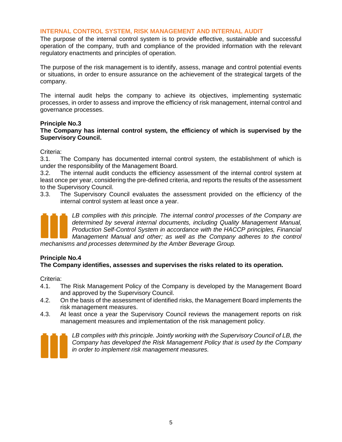#### <span id="page-4-0"></span>**INTERNAL CONTROL SYSTEM, RISK MANAGEMENT AND INTERNAL AUDIT**

The purpose of the internal control system is to provide effective, sustainable and successful operation of the company, truth and compliance of the provided information with the relevant regulatory enactments and principles of operation.

The purpose of the risk management is to identify, assess, manage and control potential events or situations, in order to ensure assurance on the achievement of the strategical targets of the company.

The internal audit helps the company to achieve its objectives, implementing systematic processes, in order to assess and improve the efficiency of risk management, internal control and governance processes.

#### **Principle No.3**

#### **The Company has internal control system, the efficiency of which is supervised by the Supervisory Council.**

Criteria:

3.1. The Company has documented internal control system, the establishment of which is under the responsibility of the Management Board.

3.2. The internal audit conducts the efficiency assessment of the internal control system at least once per year, considering the pre-defined criteria, and reports the results of the assessment to the Supervisory Council.

3.3. The Supervisory Council evaluates the assessment provided on the efficiency of the internal control system at least once a year.



LB complies with this principle. The internal control processes of the Company are *determined by several internal documents, including Quality Management Manual, Production Self-Control System in accordance with the HACCP principles, Financial Management Manual and other; as well as the Company adheres to the control* 

*mechanisms and processes determined by the Amber Beverage Group.*

# **Principle No.4**

# **The Company identifies, assesses and supervises the risks related to its operation.**

Criteria:

- 4.1. The Risk Management Policy of the Company is developed by the Management Board and approved by the Supervisory Council.
- 4.2. On the basis of the assessment of identified risks, the Management Board implements the risk management measures.
- 4.3. At least once a year the Supervisory Council reviews the management reports on risk management measures and implementation of the risk management policy.



*LB complies with this principle. Jointly working with the Supervisory Council of LB, the Company has developed the Risk Management Policy that is used by the Company in order to implement risk management measures.*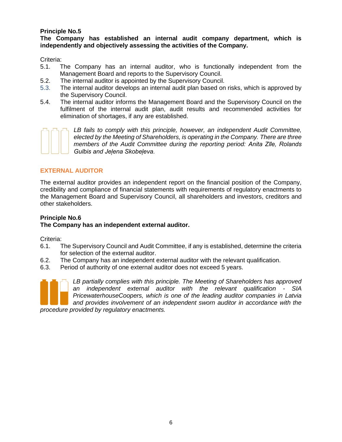# **Principle No.5**

**The Company has established an internal audit company department, which is independently and objectively assessing the activities of the Company.** 

Criteria:

- 5.1. The Company has an internal auditor, who is functionally independent from the Management Board and reports to the Supervisory Council.
- 5.2. The internal auditor is appointed by the Supervisory Council.
- 5.3. The internal auditor develops an internal audit plan based on risks, which is approved by the Supervisory Council.
- 5.4. The internal auditor informs the Management Board and the Supervisory Council on the fulfilment of the internal audit plan, audit results and recommended activities for elimination of shortages, if any are established.



*LB fails to comply with this principle, however, an independent Audit Committee, elected by the Meeting of Shareholders, is operating in the Company. There are three members of the Audit Committee during the reporting period: Anita Zīle, Rolands Gulbis and Jeļena Skobeļeva.*

# **EXTERNAL AUDITOR**

The external auditor provides an independent report on the financial position of the Company, credibility and compliance of financial statements with requirements of regulatory enactments to the Management Board and Supervisory Council, all shareholders and investors, creditors and other stakeholders.

#### **Principle No.6 The Company has an independent external auditor.**

Criteria:

- 6.1. The Supervisory Council and Audit Committee, if any is established, determine the criteria for selection of the external auditor.
- 6.2. The Company has an independent external auditor with the relevant qualification.
- 6.3. Period of authority of one external auditor does not exceed 5 years.



*LB partially complies with this principle. The Meeting of Shareholders has approved an independent external auditor with the relevant qualification - SIA PricewaterhouseCoopers, which is one of the leading auditor companies in Latvia and provides involvement of an independent sworn auditor in accordance with the* 

*procedure provided by regulatory enactments.*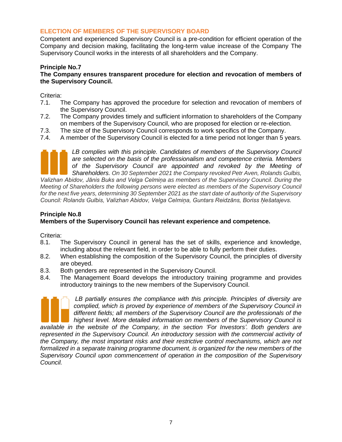# <span id="page-6-0"></span>**ELECTION OF MEMBERS OF THE SUPERVISORY BOARD**

Competent and experienced Supervisory Council is a pre-condition for efficient operation of the Company and decision making, facilitating the long-term value increase of the Company The Supervisory Council works in the interests of all shareholders and the Company.

#### **Principle No.7**

#### **The Company ensures transparent procedure for election and revocation of members of the Supervisory Council.**

Criteria:

- 7.1. The Company has approved the procedure for selection and revocation of members of the Supervisory Council.
- 7.2. The Company provides timely and sufficient information to shareholders of the Company on members of the Supervisory Council, who are proposed for election or re-election.
- 7.3. The size of the Supervisory Council corresponds to work specifics of the Company.
- 7.4. A member of the Supervisory Council is elected for a time period not longer than 5 years.



*Valizhan Abidov, Jānis Buks and Velga Celmiņa as members of the Supervisory Council. During the Meeting of Shareholders the following persons were elected as members of the Supervisory Council for the next five years, determining 30 September 2021 as the start date of authority of the Supervisory Council: Rolands Gulbis, Valizhan Abidov, Velga Celmiņa, Guntars Reidzāns, Boriss Ņešatajevs.*

# **Principle No.8**

# **Members of the Supervisory Council has relevant experience and competence.**

Criteria:

- 8.1. The Supervisory Council in general has the set of skills, experience and knowledge, including about the relevant field, in order to be able to fully perform their duties.
- 8.2. When establishing the composition of the Supervisory Council, the principles of diversity are obeyed.
- 8.3. Both genders are represented in the Supervisory Council.
- 8.4. The Management Board develops the introductory training programme and provides introductory trainings to the new members of the Supervisory Council.



LB partially ensures the compliance with this principle. Principles of diversity are *complied, which is proved by experience of members of the Supervisory Council in different fields; all members of the Supervisory Council are the professionals of the highest level. More detailed information on members of the Supervisory Council is* 

*available in the website of the Company, in the section 'For Investors'. Both genders are represented in the Supervisory Council. An introductory session with the commercial activity of the Company, the most important risks and their restrictive control mechanisms, which are not formalized in a separate training programme document, is organized for the new members of the Supervisory Council upon commencement of operation in the composition of the Supervisory Council.*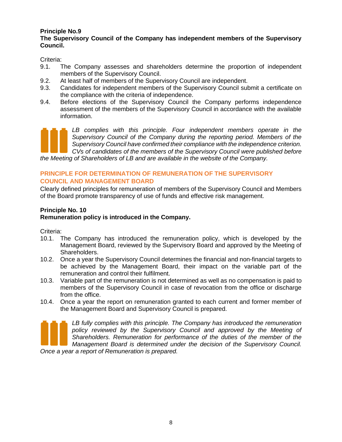# **Principle No.9**

# **The Supervisory Council of the Company has independent members of the Supervisory Council.**

Criteria:

- 9.1. The Company assesses and shareholders determine the proportion of independent members of the Supervisory Council.
- 9.2. At least half of members of the Supervisory Council are independent.
- 9.3. Candidates for independent members of the Supervisory Council submit a certificate on the compliance with the criteria of independence.
- 9.4. Before elections of the Supervisory Council the Company performs independence assessment of the members of the Supervisory Council in accordance with the available information.

LB complies with this principle. Four independent members operate in the *Supervisory Council of the Company during the reporting period. Members of the Supervisory Council have confirmed their compliance with the independence criterion. CVs of candidates of the members of the Supervisory Council were published before* 

*the Meeting of Shareholders of LB and are available in the website of the Company.*

# <span id="page-7-0"></span>**PRINCIPLE FOR DETERMINATION OF REMUNERATION OF THE SUPERVISORY COUNCIL AND MANAGEMENT BOARD**

Clearly defined principles for remuneration of members of the Supervisory Council and Members of the Board promote transparency of use of funds and effective risk management.

# **Principle No. 10**

# **Remuneration policy is introduced in the Company.**

Criteria:

- 10.1. The Company has introduced the remuneration policy, which is developed by the Management Board, reviewed by the Supervisory Board and approved by the Meeting of Shareholders.
- 10.2. Once a year the Supervisory Council determines the financial and non-financial targets to be achieved by the Management Board, their impact on the variable part of the remuneration and control their fulfilment.
- 10.3. Variable part of the remuneration is not determined as well as no compensation is paid to members of the Supervisory Council in case of revocation from the office or discharge from the office.
- 10.4. Once a year the report on remuneration granted to each current and former member of the Management Board and Supervisory Council is prepared.



*LB fully complies with this principle. The Company has introduced the remuneration policy reviewed by the Supervisory Council and approved by the Meeting of Shareholders. Remuneration for performance of the duties of the member of the Management Board is determined under the decision of the Supervisory Council.* 

*Once a year a report of Remuneration is prepared.*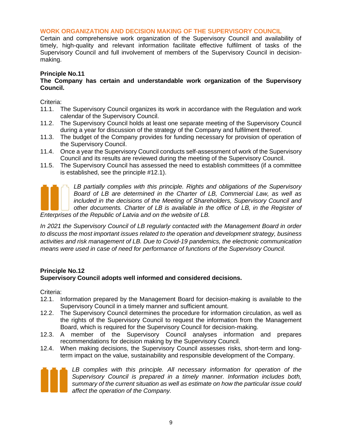#### **WORK ORGANIZATION AND DECISION MAKING OF THE SUPERVISORY COUNCIL**

Certain and comprehensive work organization of the Supervisory Council and availability of timely, high-quality and relevant information facilitate effective fulfilment of tasks of the Supervisory Council and full involvement of members of the Supervisory Council in decisionmaking.

#### **Principle No.11**

#### **The Company has certain and understandable work organization of the Supervisory Council.**

Criteria:

- 11.1. The Supervisory Council organizes its work in accordance with the Regulation and work calendar of the Supervisory Council.
- 11.2. The Supervisory Council holds at least one separate meeting of the Supervisory Council during a year for discussion of the strategy of the Company and fulfilment thereof.
- 11.3. The budget of the Company provides for funding necessary for provision of operation of the Supervisory Council.
- 11.4. Once a year the Supervisory Council conducts self-assessment of work of the Supervisory Council and its results are reviewed during the meeting of the Supervisory Council.
- 11.5. The Supervisory Council has assessed the need to establish committees (if a committee is established, see the principle #12.1).



*LB partially complies with this principle. Rights and obligations of the Supervisory Board of LB are determined in the Charter of LB, Commercial Law, as well as included in the decisions of the Meeting of Shareholders, Supervisory Council and other documents. Charter of LB is available in the office of LB, in the Register of* 

*Enterprises of the Republic of Latvia and on the website of LB.*

*In 2021 the Supervisory Council of LB regularly contacted with the Management Board in order to discuss the most important issues related to the operation and development strategy, business activities and risk management of LB. Due to Covid-19 pandemics, the electronic communication means were used in case of need for performance of functions of the Supervisory Council.*

# **Principle No.12**

# **Supervisory Council adopts well informed and considered decisions.**

Criteria:

- 12.1. Information prepared by the Management Board for decision-making is available to the Supervisory Council in a timely manner and sufficient amount.
- 12.2. The Supervisory Council determines the procedure for information circulation, as well as the rights of the Supervisory Council to request the information from the Management Board, which is required for the Supervisory Council for decision-making.
- 12.3. A member of the Supervisory Council analyses information and prepares recommendations for decision making by the Supervisory Council.
- 12.4. When making decisions, the Supervisory Council assesses risks, short-term and longterm impact on the value, sustainability and responsible development of the Company.



*LB complies with this principle. All necessary information for operation of the Supervisory Council is prepared in a timely manner. Information includes both, summary of the current situation as well as estimate on how the particular issue could affect the operation of the Company.*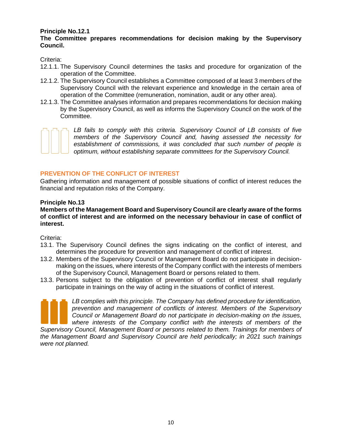# **Principle No.12.1**

# **The Committee prepares recommendations for decision making by the Supervisory Council.**

Criteria:

- 12.1.1. The Supervisory Council determines the tasks and procedure for organization of the operation of the Committee.
- 12.1.2. The Supervisory Council establishes a Committee composed of at least 3 members of the Supervisory Council with the relevant experience and knowledge in the certain area of operation of the Committee (remuneration, nomination, audit or any other area).
- 12.1.3. The Committee analyses information and prepares recommendations for decision making by the Supervisory Council, as well as informs the Supervisory Council on the work of the Committee.



*LB fails to comply with this criteria. Supervisory Council of LB consists of five members of the Supervisory Council and, having assessed the necessity for establishment of commissions, it was concluded that such number of people is optimum, without establishing separate committees for the Supervisory Council.*

# <span id="page-9-0"></span>**PREVENTION OF THE CONFLICT OF INTEREST**

Gathering information and management of possible situations of conflict of interest reduces the financial and reputation risks of the Company.

#### **Principle No.13**

**Members of the Management Board and Supervisory Council are clearly aware of the forms of conflict of interest and are informed on the necessary behaviour in case of conflict of interest.** 

Criteria:

- 13.1. The Supervisory Council defines the signs indicating on the conflict of interest, and determines the procedure for prevention and management of conflict of interest.
- 13.2. Members of the Supervisory Council or Management Board do not participate in decisionmaking on the issues, where interests of the Company conflict with the interests of members of the Supervisory Council, Management Board or persons related to them.
- 13.3. Persons subject to the obligation of prevention of conflict of interest shall regularly participate in trainings on the way of acting in the situations of conflict of interest.



*LB complies with this principle. The Company has defined procedure for identification, prevention and management of conflicts of interest. Members of the Supervisory Council or Management Board do not participate in decision-making on the issues, where interests of the Company conflict with the interests of members of the* 

*Supervisory Council, Management Board or persons related to them. Trainings for members of the Management Board and Supervisory Council are held periodically; in 2021 such trainings were not planned.*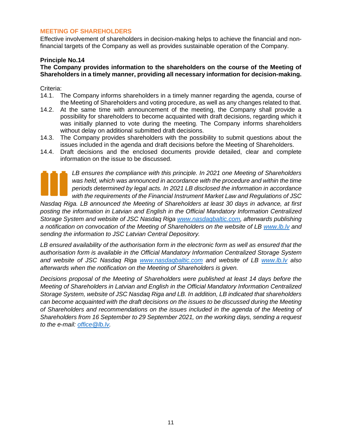# <span id="page-10-0"></span>**MEETING OF SHAREHOLDERS**

Effective involvement of shareholders in decision-making helps to achieve the financial and nonfinancial targets of the Company as well as provides sustainable operation of the Company.

#### **Principle No.14**

# **The Company provides information to the shareholders on the course of the Meeting of Shareholders in a timely manner, providing all necessary information for decision-making.**

#### Criteria:

- 14.1. The Company informs shareholders in a timely manner regarding the agenda, course of the Meeting of Shareholders and voting procedure, as well as any changes related to that.
- 14.2. At the same time with announcement of the meeting, the Company shall provide a possibility for shareholders to become acquainted with draft decisions, regarding which it was initially planned to vote during the meeting. The Company informs shareholders without delay on additional submitted draft decisions.
- 14.3. The Company provides shareholders with the possibility to submit questions about the issues included in the agenda and draft decisions before the Meeting of Shareholders.
- 14.4. Draft decisions and the enclosed documents provide detailed, clear and complete information on the issue to be discussed.



*LB ensures the compliance with this principle. In 2021 one Meeting of Shareholders*  was held, which was announced in accordance with the procedure and within the time *periods determined by legal acts. In 2021 LB disclosed the information in accordance with the requirements of the Financial Instrument Market Law and Regulations of JSC* 

*Nasdaq Riga. LB announced the Meeting of Shareholders at least 30 days in advance, at first posting the information in Latvian and English in the Official Mandatory Information Centralized Storage System and website of JSC Nasdaq Riga [www.nasdaqbaltic.com,](http://www.nasdaqbaltic.com/) afterwards publishing a notification on convocation of the Meeting of Shareholders on the website of LB [www.lb.lv](http://www.lb.lv/) and sending the information to JSC Latvian Central Depository.*

*LB ensured availability of the authorisation form in the electronic form as well as ensured that the authorisation form is available in the Official Mandatory Information Centralized Storage System and website of JSC Nasdaq Riga [www.nasdaqbaltic.com](http://www.nasdaqbaltic.com/) and website of LB [www.lb.lv](http://www.lb.lv/) also afterwards when the notification on the Meeting of Shareholders is given.*

*Decisions proposal of the Meeting of Shareholders were published at least 14 days before the Meeting of Shareholders in Latvian and English in the Official Mandatory Information Centralized Storage System, website of JSC Nasdaq Riga and LB. In addition, LB indicated that shareholders can become acquainted with the draft decisions on the issues to be discussed during the Meeting of Shareholders and recommendations on the issues included in the agenda of the Meeting of Shareholders from 16 September to 29 September 2021, on the working days, sending a request to the e-mail: [office@lb.lv.](mailto:office@lb.lv)*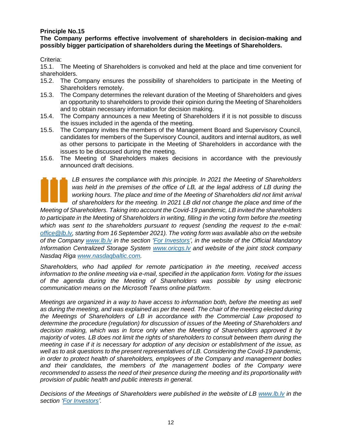# **Principle No.15**

**The Company performs effective involvement of shareholders in decision-making and possibly bigger participation of shareholders during the Meetings of Shareholders.** 

Criteria:

15.1. The Meeting of Shareholders is convoked and held at the place and time convenient for shareholders.

- 15.2. The Company ensures the possibility of shareholders to participate in the Meeting of Shareholders remotely.
- 15.3. The Company determines the relevant duration of the Meeting of Shareholders and gives an opportunity to shareholders to provide their opinion during the Meeting of Shareholders and to obtain necessary information for decision making.
- 15.4. The Company announces a new Meeting of Shareholders if it is not possible to discuss the issues included in the agenda of the meeting.
- 15.5. The Company invites the members of the Management Board and Supervisory Council, candidates for members of the Supervisory Council, auditors and internal auditors, as well as other persons to participate in the Meeting of Shareholders in accordance with the issues to be discussed during the meeting.
- 15.6. The Meeting of Shareholders makes decisions in accordance with the previously announced draft decisions.

*LB ensures the compliance with this principle. In 2021 the Meeting of Shareholders*  was held in the premises of the office of LB, at the legal address of LB during the *working hours. The place and time of the Meeting of Shareholders did not limit arrival of shareholders for the meeting. In 2021 LB did not change the place and time of the* 

*Meeting of Shareholders. Taking into account the Covid-19 pandemic, LB invited the shareholders to participate in the Meeting of Shareholders in writing, filling in the voting form before the meeting which was sent to the shareholders pursuant to request (sending the request to the e-mail: [office@lb.lv,](mailto:office@lb.lv) starting from 16 September 2021). The voting form was available also on the website of the Company [www.lb.lv](http://www.lb.lv/) in the section ['For Investors'](https://lb.lv/investoriem/), in the website of the Official Mandatory Information Centralized Storage System [www.oricgs.lv](http://www.oricgs.lv/) and website of the joint stock company Nasdaq Riga [www.nasdaqbaltic.com.](http://www.nasdaqbaltic.com/)*

*Shareholders, who had applied for remote participation in the meeting, received access information to the online meeting via e-mail, specified in the application form. Voting for the issues of the agenda during the Meeting of Shareholders was possible by using electronic communication means on the Microsoft Teams online platform.*

*Meetings are organized in a way to have access to information both, before the meeting as well as during the meeting, and was explained as per the need. The chair of the meeting elected during the Meetings of Shareholders of LB in accordance with the Commercial Law proposed to determine the procedure (regulation) for discussion of issues of the Meeting of Shareholders and decision making, which was in force only when the Meeting of Shareholders approved it by majority of votes. LB does not limit the rights of shareholders to consult between them during the meeting in case if it is necessary for adoption of any decision or establishment of the issue, as well as to ask questions to the present representatives of LB. Considering the Covid-19 pandemic, in order to protect health of shareholders, employees of the Company and management bodies and their candidates, the members of the management bodies of the Company were recommended to assess the need of their presence during the meeting and its proportionality with provision of public health and public interests in general.*

*Decisions of the Meetings of Shareholders were published in the website of LB [www.lb.lv](http://www.lb.lv/) in the section ['For Investors'](https://lb.lv/investoriem/).*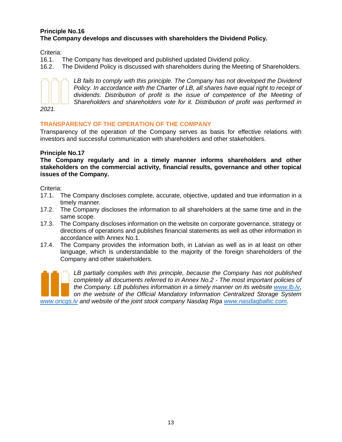### **Principle No.16 The Company develops and discusses with shareholders the Dividend Policy.**

Criteria:

16.1. The Company has developed and published updated Dividend policy.

16.2. The Dividend Policy is discussed with shareholders during the Meeting of Shareholders.



LB fails to comply with this principle. The Company has not developed the Dividend *Policy. In accordance with the Charter of LB, all shares have equal right to receipt of*  dividends. Distribution of profit is the issue of competence of the Meeting of *Shareholders and shareholders vote for it. Distribution of profit was performed in* 

<span id="page-12-0"></span>**TRANSPARENCY OF THE OPERATION OF THE COMPANY** 

Transparency of the operation of the Company serves as basis for effective relations with investors and successful communication with shareholders and other stakeholders.

# **Principle No.17**

**The Company regularly and in a timely manner informs shareholders and other stakeholders on the commercial activity, financial results, governance and other topical issues of the Company.** 

Criteria:

- 17.1. The Company discloses complete, accurate, objective, updated and true information in a timely manner.
- 17.2. The Company discloses the information to all shareholders at the same time and in the same scope.
- 17.3. The Company discloses information on the website on corporate governance, strategy or directions of operations and publishes financial statements as well as other information in accordance with Annex No.1.
- 17.4. The Company provides the information both, in Latvian as well as in at least on other language, which is understandable to the majority of the foreign shareholders of the Company and other stakeholders.

*LB partially complies with this principle, because the Company has not published completely all documents referred to in Annex No.2 - The most important policies of the Company. LB publishes information in a timely manner on its website [www.lb.lv,](http://www.lb.lv/) on the website of the Official Mandatory Information Centralized Storage System [www.oricgs.lv](http://www.oricgs.lv/) and website of the joint stock company Nasdaq Riga [www.nasdaqbaltic.com.](http://www.nasdaqbaltic.com/)*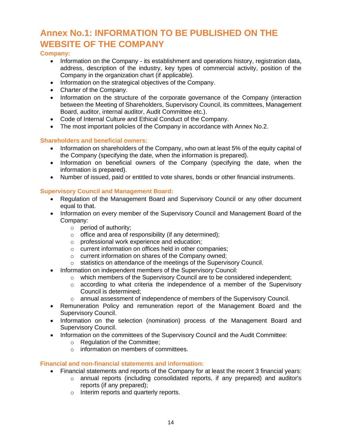# <span id="page-13-0"></span>**Annex No.1: INFORMATION TO BE PUBLISHED ON THE WEBSITE OF THE COMPANY**

# **Company:**

- Information on the Company its establishment and operations history, registration data, address, description of the industry, key types of commercial activity, position of the Company in the organization chart (if applicable).
- Information on the strategical objectives of the Company.
- Charter of the Company.
- Information on the structure of the corporate governance of the Company (interaction between the Meeting of Shareholders, Supervisory Council, its committees, Management Board, auditor, internal auditor, Audit Committee etc.).
- Code of Internal Culture and Ethical Conduct of the Company.
- The most important policies of the Company in accordance with Annex No.2.

# **Shareholders and beneficial owners:**

- Information on shareholders of the Company, who own at least 5% of the equity capital of the Company (specifying the date, when the information is prepared).
- Information on beneficial owners of the Company (specifying the date, when the information is prepared).
- Number of issued, paid or entitled to vote shares, bonds or other financial instruments.

# **Supervisory Council and Management Board:**

- Regulation of the Management Board and Supervisory Council or any other document equal to that.
- Information on every member of the Supervisory Council and Management Board of the Company:
	- o period of authority;
	- $\circ$  office and area of responsibility (if any determined);
	- o professional work experience and education;
	- o current information on offices held in other companies;
	- o current information on shares of the Company owned;
	- o statistics on attendance of the meetings of the Supervisory Council.
- Information on independent members of the Supervisory Council:
	- o which members of the Supervisory Council are to be considered independent;
	- $\circ$  according to what criteria the independence of a member of the Supervisory Council is determined;
	- o annual assessment of independence of members of the Supervisory Council.
- Remuneration Policy and remuneration report of the Management Board and the Supervisory Council.
- Information on the selection (nomination) process of the Management Board and Supervisory Council.
- Information on the committees of the Supervisory Council and the Audit Committee:
	- o Regulation of the Committee;
	- $\circ$  information on members of committees.

# **Financial and non-financial statements and information:**

- Financial statements and reports of the Company for at least the recent 3 financial years:
	- o annual reports (including consolidated reports, if any prepared) and auditor's reports (if any prepared);
	- o Interim reports and quarterly reports.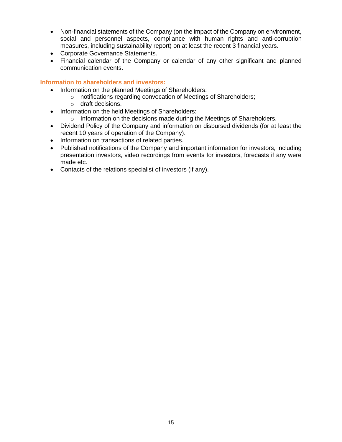- Non-financial statements of the Company (on the impact of the Company on environment, social and personnel aspects, compliance with human rights and anti-corruption measures, including sustainability report) on at least the recent 3 financial years.
- Corporate Governance Statements.
- Financial calendar of the Company or calendar of any other significant and planned communication events.

# **Information to shareholders and investors:**

- Information on the planned Meetings of Shareholders:
	- o notifications regarding convocation of Meetings of Shareholders;
		- o draft decisions.
- Information on the held Meetings of Shareholders:
	- o Information on the decisions made during the Meetings of Shareholders.
- Dividend Policy of the Company and information on disbursed dividends (for at least the recent 10 years of operation of the Company).
- Information on transactions of related parties.
- Published notifications of the Company and important information for investors, including presentation investors, video recordings from events for investors, forecasts if any were made etc.
- Contacts of the relations specialist of investors (if any).